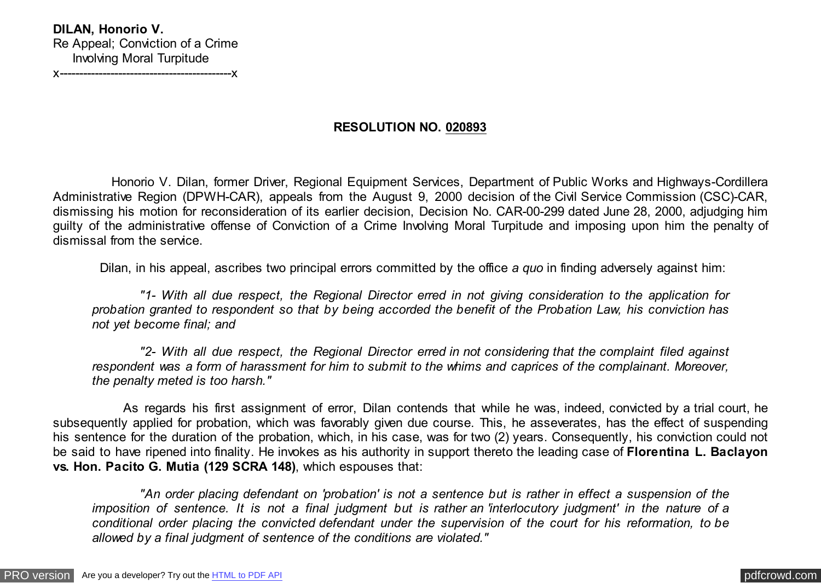# **RESOLUTION NO. 020893**

 Honorio V. Dilan, former Driver, Regional Equipment Services, Department of Public Works and Highways-Cordillera Administrative Region (DPWH-CAR), appeals from the August 9, 2000 decision of the Civil Service Commission (CSC)-CAR, dismissing his motion for reconsideration of its earlier decision, Decision No. CAR-00-299 dated June 28, 2000, adjudging him guilty of the administrative offense of Conviction of a Crime Involving Moral Turpitude and imposing upon him the penalty of dismissal from the service.

Dilan, in his appeal, ascribes two principal errors committed by the office *a quo* in finding adversely against him:

 *"1- With all due respect, the Regional Director erred in not giving consideration to the application for probation granted to respondent so that by being accorded the benefit of the Probation Law, his conviction has not yet become final; and*

 *"2- With all due respect, the Regional Director erred in not considering that the complaint filed against respondent was a form of harassment for him to submit to the whims and caprices of the complainant. Moreover, the penalty meted is too harsh."*

 As regards his first assignment of error, Dilan contends that while he was, indeed, convicted by a trial court, he subsequently applied for probation, which was favorably given due course. This, he asseverates, has the effect of suspending his sentence for the duration of the probation, which, in his case, was for two (2) years. Consequently, his conviction could not be said to have ripened into finality. He invokes as his authority in support thereto the leading case of **Florentina L. Baclayon vs. Hon. Pacito G. Mutia (129 SCRA 148)**, which espouses that:

 *"An order placing defendant on 'probation' is not a sentence but is rather in effect a suspension of the imposition of sentence. It is not a final judgment but is rather an 'interlocutory judgment' in the nature of a conditional order placing the convicted defendant under the supervision of the court for his reformation, to be allowed by a final judgment of sentence of the conditions are violated."*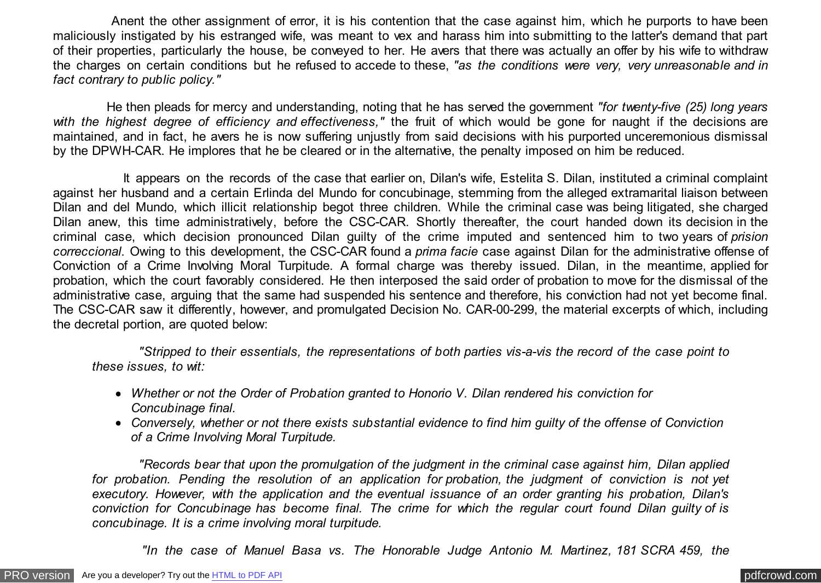Anent the other assignment of error, it is his contention that the case against him, which he purports to have been maliciously instigated by his estranged wife, was meant to vex and harass him into submitting to the latter's demand that part of their properties, particularly the house, be conveyed to her. He avers that there was actually an offer by his wife to withdraw the charges on certain conditions but he refused to accede to these, *"as the conditions were very, very unreasonable and in fact contrary to public policy."*

 He then pleads for mercy and understanding, noting that he has served the government *"for twenty-five (25) long years with the highest degree of efficiency and effectiveness,"* the fruit of which would be gone for naught if the decisions are maintained, and in fact, he avers he is now suffering unjustly from said decisions with his purported unceremonious dismissal by the DPWH-CAR. He implores that he be cleared or in the alternative, the penalty imposed on him be reduced.

 It appears on the records of the case that earlier on, Dilan's wife, Estelita S. Dilan, instituted a criminal complaint against her husband and a certain Erlinda del Mundo for concubinage, stemming from the alleged extramarital liaison between Dilan and del Mundo, which illicit relationship begot three children. While the criminal case was being litigated, she charged Dilan anew, this time administratively, before the CSC-CAR. Shortly thereafter, the court handed down its decision in the criminal case, which decision pronounced Dilan guilty of the crime imputed and sentenced him to two years of *prision correccional*. Owing to this development, the CSC-CAR found a *prima facie* case against Dilan for the administrative offense of Conviction of a Crime Involving Moral Turpitude. A formal charge was thereby issued. Dilan, in the meantime, applied for probation, which the court favorably considered. He then interposed the said order of probation to move for the dismissal of the administrative case, arguing that the same had suspended his sentence and therefore, his conviction had not yet become final. The CSC-CAR saw it differently, however, and promulgated Decision No. CAR-00-299, the material excerpts of which, including the decretal portion, are quoted below:

 *"Stripped to their essentials, the representations of both parties vis-a-vis the record of the case point to these issues, to wit:*

- *Whether or not the Order of Probation granted to Honorio V. Dilan rendered his conviction for Concubinage final.*
- *Conversely, whether or not there exists substantial evidence to find him guilty of the offense of Conviction of a Crime Involving Moral Turpitude.*

 *"Records bear that upon the promulgation of the judgment in the criminal case against him, Dilan applied for probation. Pending the resolution of an application for probation, the judgment of conviction is not yet executory. However, with the application and the eventual issuance of an order granting his probation, Dilan's conviction for Concubinage has become final. The crime for which the regular court found Dilan guilty of is concubinage. It is a crime involving moral turpitude.*

 *"In the case of Manuel Basa vs. The Honorable Judge Antonio M. Martinez, 181 SCRA 459, the*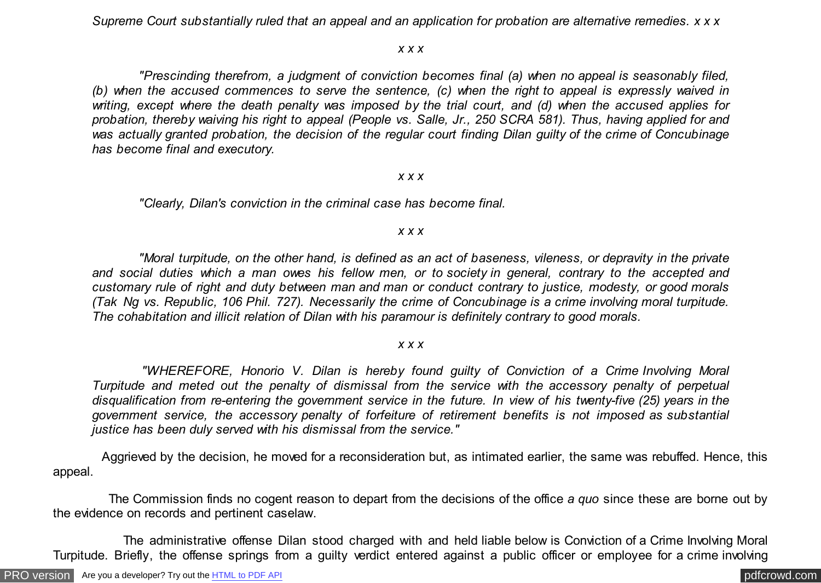*Supreme Court substantially ruled that an appeal and an application for probation are alternative remedies. x x x*

#### *x x x*

 *"Prescinding therefrom, a judgment of conviction becomes final (a) when no appeal is seasonably filed, (b) when the accused commences to serve the sentence, (c) when the right to appeal is expressly waived in writing, except where the death penalty was imposed by the trial court, and (d) when the accused applies for probation, thereby waiving his right to appeal (People vs. Salle, Jr., 250 SCRA 581). Thus, having applied for and was actually granted probation, the decision of the regular court finding Dilan guilty of the crime of Concubinage has become final and executory.*

#### *x x x*

 *"Clearly, Dilan's conviction in the criminal case has become final.*

#### *x x x*

 *"Moral turpitude, on the other hand, is defined as an act of baseness, vileness, or depravity in the private and social duties which a man owes his fellow men, or to society in general, contrary to the accepted and customary rule of right and duty between man and man or conduct contrary to justice, modesty, or good morals (Tak Ng vs. Republic, 106 Phil. 727). Necessarily the crime of Concubinage is a crime involving moral turpitude. The cohabitation and illicit relation of Dilan with his paramour is definitely contrary to good morals.*

### *x x x*

 *"WHEREFORE, Honorio V. Dilan is hereby found guilty of Conviction of a Crime Involving Moral Turpitude and meted out the penalty of dismissal from the service with the accessory penalty of perpetual disqualification from re-entering the government service in the future. In view of his twenty-five (25) years in the government service, the accessory penalty of forfeiture of retirement benefits is not imposed as substantial justice has been duly served with his dismissal from the service."*

 Aggrieved by the decision, he moved for a reconsideration but, as intimated earlier, the same was rebuffed. Hence, this appeal.

 The Commission finds no cogent reason to depart from the decisions of the office *a quo* since these are borne out by the evidence on records and pertinent caselaw.

 The administrative offense Dilan stood charged with and held liable below is Conviction of a Crime Involving Moral Turpitude. Briefly, the offense springs from a guilty verdict entered against a public officer or employee for a crime involving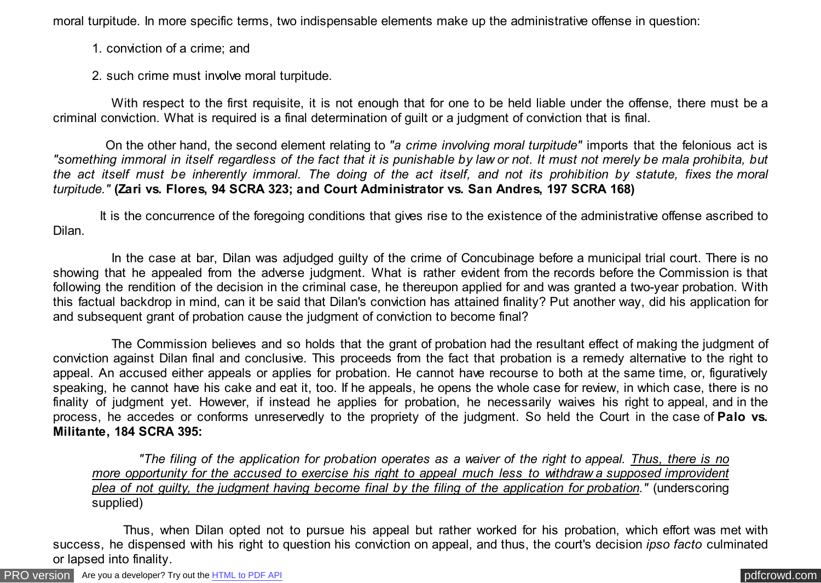moral turpitude. In more specific terms, two indispensable elements make up the administrative offense in question:

1. conviction of a crime; and

2. such crime must involve moral turpitude.

 With respect to the first requisite, it is not enough that for one to be held liable under the offense, there must be a criminal conviction. What is required is a final determination of guilt or a judgment of conviction that is final.

 On the other hand, the second element relating to *"a crime involving moral turpitude"* imports that the felonious act is *"something immoral in itself regardless of the fact that it is punishable by law or not. It must not merely be mala prohibita, but the act itself must be inherently immoral. The doing of the act itself, and not its prohibition by statute, fixes the moral turpitude."* **(Zari vs. Flores, 94 SCRA 323; and Court Administrator vs. San Andres, 197 SCRA 168)**

 It is the concurrence of the foregoing conditions that gives rise to the existence of the administrative offense ascribed to Dilan.

 In the case at bar, Dilan was adjudged guilty of the crime of Concubinage before a municipal trial court. There is no showing that he appealed from the adverse judgment. What is rather evident from the records before the Commission is that following the rendition of the decision in the criminal case, he thereupon applied for and was granted a two-year probation. With this factual backdrop in mind, can it be said that Dilan's conviction has attained finality? Put another way, did his application for and subsequent grant of probation cause the judgment of conviction to become final?

 The Commission believes and so holds that the grant of probation had the resultant effect of making the judgment of conviction against Dilan final and conclusive. This proceeds from the fact that probation is a remedy alternative to the right to appeal. An accused either appeals or applies for probation. He cannot have recourse to both at the same time, or, figuratively speaking, he cannot have his cake and eat it, too. If he appeals, he opens the whole case for review, in which case, there is no finality of judgment yet. However, if instead he applies for probation, he necessarily waives his right to appeal, and in the process, he accedes or conforms unreservedly to the propriety of the judgment. So held the Court in the case of **Palo vs. Militante, 184 SCRA 395:**

 *"The filing of the application for probation operates as a waiver of the right to appeal. Thus, there is no more opportunity for the accused to exercise his right to appeal much less to withdraw a supposed improvident plea of not guilty, the judgment having become final by the filing of the application for probation."* (underscoring supplied)

 Thus, when Dilan opted not to pursue his appeal but rather worked for his probation, which effort was met with success, he dispensed with his right to question his conviction on appeal, and thus, the court's decision *ipso facto* culminated or lapsed into finality.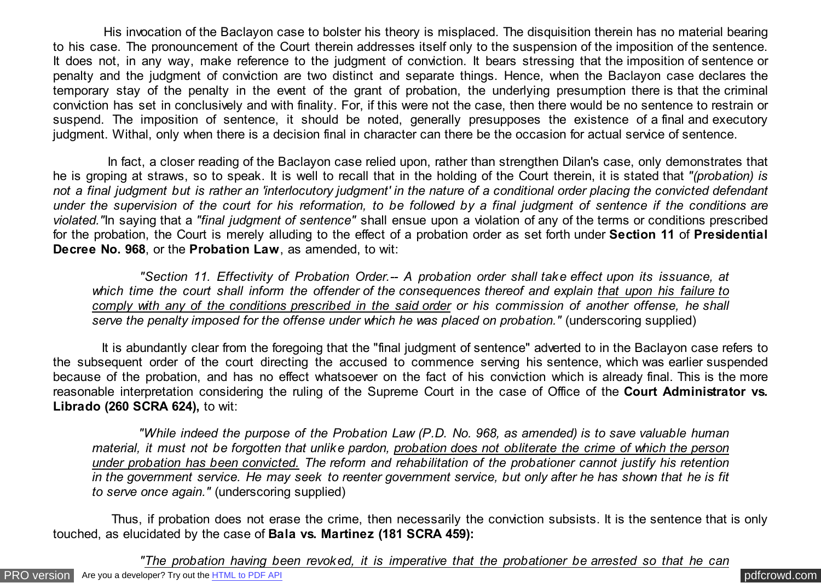His invocation of the Baclayon case to bolster his theory is misplaced. The disquisition therein has no material bearing to his case. The pronouncement of the Court therein addresses itself only to the suspension of the imposition of the sentence. It does not, in any way, make reference to the judgment of conviction. It bears stressing that the imposition of sentence or penalty and the judgment of conviction are two distinct and separate things. Hence, when the Baclayon case declares the temporary stay of the penalty in the event of the grant of probation, the underlying presumption there is that the criminal conviction has set in conclusively and with finality. For, if this were not the case, then there would be no sentence to restrain or suspend. The imposition of sentence, it should be noted, generally presupposes the existence of a final and executory judgment. Withal, only when there is a decision final in character can there be the occasion for actual service of sentence.

 In fact, a closer reading of the Baclayon case relied upon, rather than strengthen Dilan's case, only demonstrates that he is groping at straws, so to speak. It is well to recall that in the holding of the Court therein, it is stated that *"(probation) is not a final judgment but is rather an 'interlocutory judgment' in the nature of a conditional order placing the convicted defendant under the supervision of the court for his reformation, to be followed by a final judgment of sentence if the conditions are violated."*In saying that a *"final judgment of sentence"* shall ensue upon a violation of any of the terms or conditions prescribed for the probation, the Court is merely alluding to the effect of a probation order as set forth under **Section 11** of **Presidential Decree No. 968**, or the **Probation Law**, as amended, to wit:

 *"Section 11. Effectivity of Probation Order.-- A probation order shall take effect upon its issuance, at which time the court shall inform the offender of the consequences thereof and explain that upon his failure to comply with any of the conditions prescribed in the said order or his commission of another offense, he shall serve the penalty imposed for the offense under which he was placed on probation."* (underscoring supplied)

 It is abundantly clear from the foregoing that the "final judgment of sentence" adverted to in the Baclayon case refers to the subsequent order of the court directing the accused to commence serving his sentence, which was earlier suspended because of the probation, and has no effect whatsoever on the fact of his conviction which is already final. This is the more reasonable interpretation considering the ruling of the Supreme Court in the case of Office of the **Court Administrator vs. Librado (260 SCRA 624),** to wit:

 *"While indeed the purpose of the Probation Law (P.D. No. 968, as amended) is to save valuable human material, it must not be forgotten that unlike pardon, probation does not obliterate the crime of which the person under probation has been convicted. The reform and rehabilitation of the probationer cannot justify his retention in the government service. He may seek to reenter government service, but only after he has shown that he is fit to serve once again."* (underscoring supplied)

 Thus, if probation does not erase the crime, then necessarily the conviction subsists. It is the sentence that is only touched, as elucidated by the case of **Bala vs. Martinez (181 SCRA 459):**

 *"The probation having been revoked, it is imperative that the probationer be arrested so that he can*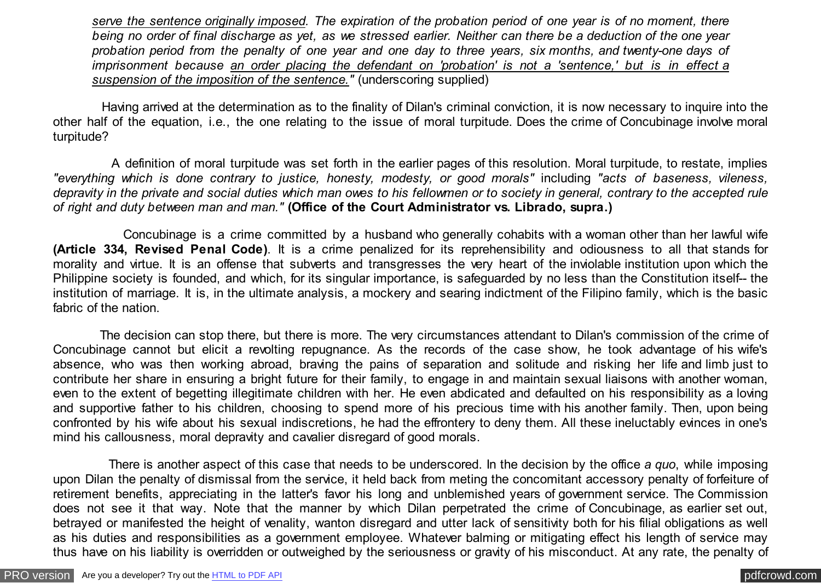*serve the sentence originally imposed. The expiration of the probation period of one year is of no moment, there being no order of final discharge as yet, as we stressed earlier. Neither can there be a deduction of the one year probation period from the penalty of one year and one day to three years, six months, and twenty-one days of imprisonment because an order placing the defendant on 'probation' is not a 'sentence,' but is in effect a suspension of the imposition of the sentence."* (underscoring supplied)

 Having arrived at the determination as to the finality of Dilan's criminal conviction, it is now necessary to inquire into the other half of the equation, i.e., the one relating to the issue of moral turpitude. Does the crime of Concubinage involve moral turpitude?

 A definition of moral turpitude was set forth in the earlier pages of this resolution. Moral turpitude, to restate, implies *"everything which is done contrary to justice, honesty, modesty, or good morals"* including *"acts of baseness, vileness, depravity in the private and social duties which man owes to his fellowmen or to society in general, contrary to the accepted rule of right and duty between man and man."* **(Office of the Court Administrator vs. Librado, supra.)**

 Concubinage is a crime committed by a husband who generally cohabits with a woman other than her lawful wife **(Article 334, Revised Penal Code)**. It is a crime penalized for its reprehensibility and odiousness to all that stands for morality and virtue. It is an offense that subverts and transgresses the very heart of the inviolable institution upon which the Philippine society is founded, and which, for its singular importance, is safeguarded by no less than the Constitution itself-- the institution of marriage. It is, in the ultimate analysis, a mockery and searing indictment of the Filipino family, which is the basic fabric of the nation.

 The decision can stop there, but there is more. The very circumstances attendant to Dilan's commission of the crime of Concubinage cannot but elicit a revolting repugnance. As the records of the case show, he took advantage of his wife's absence, who was then working abroad, braving the pains of separation and solitude and risking her life and limb just to contribute her share in ensuring a bright future for their family, to engage in and maintain sexual liaisons with another woman, even to the extent of begetting illegitimate children with her. He even abdicated and defaulted on his responsibility as a loving and supportive father to his children, choosing to spend more of his precious time with his another family. Then, upon being confronted by his wife about his sexual indiscretions, he had the effrontery to deny them. All these ineluctably evinces in one's mind his callousness, moral depravity and cavalier disregard of good morals.

 There is another aspect of this case that needs to be underscored. In the decision by the office *a quo*, while imposing upon Dilan the penalty of dismissal from the service, it held back from meting the concomitant accessory penalty of forfeiture of retirement benefits, appreciating in the latter's favor his long and unblemished years of government service. The Commission does not see it that way. Note that the manner by which Dilan perpetrated the crime of Concubinage, as earlier set out, betrayed or manifested the height of venality, wanton disregard and utter lack of sensitivity both for his filial obligations as well as his duties and responsibilities as a government employee. Whatever balming or mitigating effect his length of service may thus have on his liability is overridden or outweighed by the seriousness or gravity of his misconduct. At any rate, the penalty of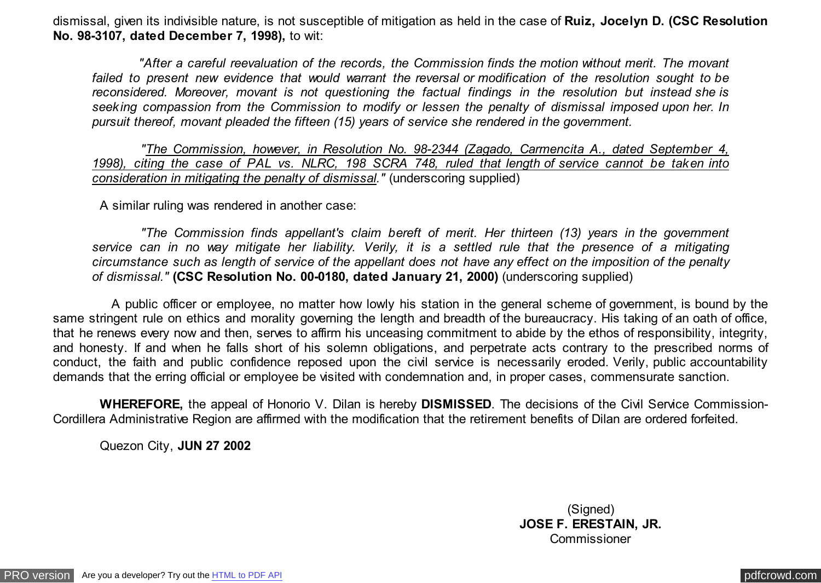dismissal, given its indivisible nature, is not susceptible of mitigation as held in the case of **Ruiz, Jocelyn D. (CSC Resolution No. 98-3107, dated December 7, 1998),** to wit:

 *"After a careful reevaluation of the records, the Commission finds the motion without merit. The movant failed to present new evidence that would warrant the reversal or modification of the resolution sought to be reconsidered. Moreover, movant is not questioning the factual findings in the resolution but instead she is seeking compassion from the Commission to modify or lessen the penalty of dismissal imposed upon her. In pursuit thereof, movant pleaded the fifteen (15) years of service she rendered in the government.*

 *"The Commission, however, in Resolution No. 98-2344 (Zagado, Carmencita A., dated September 4, 1998), citing the case of PAL vs. NLRC, 198 SCRA 748, ruled that length of service cannot be taken into consideration in mitigating the penalty of dismissal."* (underscoring supplied)

A similar ruling was rendered in another case:

 *"The Commission finds appellant's claim bereft of merit. Her thirteen (13) years in the government service can in no way mitigate her liability. Verily, it is a settled rule that the presence of a mitigating circumstance such as length of service of the appellant does not have any effect on the imposition of the penalty of dismissal."* **(CSC Resolution No. 00-0180, dated January 21, 2000)** (underscoring supplied)

 A public officer or employee, no matter how lowly his station in the general scheme of government, is bound by the same stringent rule on ethics and morality governing the length and breadth of the bureaucracy. His taking of an oath of office, that he renews every now and then, serves to affirm his unceasing commitment to abide by the ethos of responsibility, integrity, and honesty. If and when he falls short of his solemn obligations, and perpetrate acts contrary to the prescribed norms of conduct, the faith and public confidence reposed upon the civil service is necessarily eroded. Verily, public accountability demands that the erring official or employee be visited with condemnation and, in proper cases, commensurate sanction.

 **WHEREFORE,** the appeal of Honorio V. Dilan is hereby **DISMISSED**. The decisions of the Civil Service Commission-Cordillera Administrative Region are affirmed with the modification that the retirement benefits of Dilan are ordered forfeited.

Quezon City, **JUN 27 2002**

(Signed) **JOSE F. ERESTAIN, JR. Commissioner**